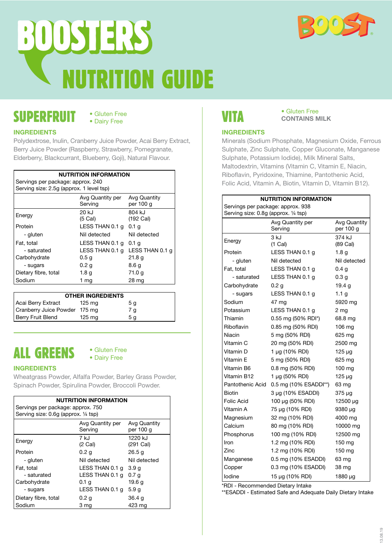

# SUPERFRUIT

### • Gluten Free • Dairy Free

### **INGREDIENTS**

Polydextrose, Inulin, Cranberry Juice Powder, Acai Berry Extract, Berry Juice Powder (Raspberry, Strawberry, Pomegranate, Elderberry, Blackcurrant, Blueberry, Goji), Natural Flavour.

| <b>NUTRITION INFORMATION</b>             |                             |                           |
|------------------------------------------|-----------------------------|---------------------------|
| Servings per package: approx. 240        |                             |                           |
| Serving size: 2.5g (approx. 1 level tsp) |                             |                           |
|                                          | Avg Quantity per<br>Serving | Avg Quantity<br>per 100 g |
| Energy                                   | 20 kJ<br>$(5)$ Cal)         | 804 kJ<br>(192 Cal)       |
| Protein                                  | LESS THAN 0.1 g             | 0.1 g                     |
| - gluten                                 | Nil detected                | Nil detected              |
| Fat, total                               | LESS THAN $0.1$ q $0.1$ q   |                           |
| - saturated                              | LESS THAN 0.1 g             | LESS THAN 0.1 g           |
| Carbohydrate                             | 0.5 <sub>q</sub>            | 21.8 <sub>q</sub>         |
| - sugars                                 | 0.2 <sub>g</sub>            | 8.6 a                     |
| Dietary fibre, total                     | 1.8 <sub>g</sub>            | 71.0 g                    |
| Sodium                                   | 1 mg                        | 28 mg                     |

| <b>OTHER INGREDIENTS</b>      |                  |                |
|-------------------------------|------------------|----------------|
| Acai Berry Extract            | 125 mg           | 5 <sub>g</sub> |
| Cranberry Juice Powder 175 mg |                  | 7 g            |
| Berry Fruit Blend             | $125 \text{ ma}$ | 5 a            |

# ALL GREENS

### • Gluten Free • Dairy Free

### **INGREDIENTS**

Wheatgrass Powder, Alfalfa Powder, Barley Grass Powder, Spinach Powder, Spirulina Powder, Broccoli Powder.

| <b>NUTRITION INFORMATION</b>         |                             |                           |
|--------------------------------------|-----------------------------|---------------------------|
| Servings per package: approx. 750    |                             |                           |
| Serving size: 0.6g (approx. 1/4 tsp) |                             |                           |
|                                      | Avg Quantity per<br>Serving | Avg Quantity<br>per 100 g |
| Energy                               | 7 kJ<br>$(2)$ Cal)          | 1220 kJ<br>$(291)$ Cal)   |
| Protein                              | 0.2 <sub>q</sub>            | 26.5 <sub>q</sub>         |
| - gluten                             | Nil detected                | Nil detected              |
| Fat, total                           | LESS THAN 0.1 g             | 3.9q                      |
| - saturated                          | LESS THAN 0.1 g             | 0.7 a                     |
| Carbohydrate                         | 0.1 <sub>q</sub>            | 19.6 g                    |
| - sugars                             | LESS THAN 0.1 g             | 5.9 g                     |
| Dietary fibre, total                 | 0.2 <sub>g</sub>            | 36.4 g                    |
| Sodium                               | 3 mg                        | 423 mg                    |

# VITA

### • Gluten Free **CONTAINS MILK**

### **INGREDIENTS**

Minerals (Sodium Phosphate, Magnesium Oxide, Ferrous Sulphate, Zinc Sulphate, Copper Gluconate, Manganese Sulphate, Potassium Iodide), Milk Mineral Salts, Maltodextrin, Vitamins (Vitamin C, Vitamin E, Niacin, Riboflavin, Pyridoxine, Thiamine, Pantothenic Acid, Folic Acid, Vitamin A, Biotin, Vitamin D, Vitamin B12).

| NUTRITION INFORMATION                |                             |                           |
|--------------------------------------|-----------------------------|---------------------------|
| Servings per package: approx. 938    |                             |                           |
| Serving size: 0.8g (approx. 1/4 tsp) |                             |                           |
|                                      | Avg Quantity per<br>Serving | Avg Quantity<br>per 100 g |
| Energy                               | 3 kJ<br>$(1)$ Cal)          | 374 kJ<br>(89 Cal)        |
| Protein                              | LESS THAN 0.1 g             | 1.8 <sub>g</sub>          |
| - gluten                             | Nil detected                | Nil detected              |
| Fat, total                           | LESS THAN 0.1 g             | 0.4 a                     |
| - saturated                          | LESS THAN 0.1 g             | 0.3 <sub>g</sub>          |
| Carbohydrate                         | 0.2 <sub>g</sub>            | 19.4 g                    |
| - sugars                             | LESS THAN 0.1 g             | 1.1 <sub>g</sub>          |
| Sodium                               | 47 mg                       | 5920 mg                   |
| Potassium                            | LESS THAN 0.1 g             | 2 <sub>mg</sub>           |
| Thiamin                              | 0.55 mg (50% RDI*)          | 68.8 mg                   |
| Riboflavin                           | 0.85 mg (50% RDI)           | $106 \text{ mg}$          |
| Niacin                               | 5 mg (50% RDI)              | 625 mg                    |
| Vitamin C                            | 20 mg (50% RDI)             | 2500 mg                   |
| Vitamin D                            | 1 µg (10% RDI)              | $125 \mu g$               |
| Vitamin E                            | 5 mg (50% RDI)              | 625 mg                    |
| Vitamin B6                           | 0.8 mg (50% RDI)            | $100 \text{ mg}$          |
| Vitamin B12                          | 1 µg (50% RDI)              | $125 \mu g$               |
| Pantothenic Acid                     | 0.5 mg (10% ESADDI**)       | 63 mg                     |
| Biotin                               | 3 µg (10% ESADDI)           | $375 \mu g$               |
| Folic Acid                           | 100 µg (50% RDI)            | 12500 µg                  |
| Vitamin A                            | 75 µg (10% RDI)             | 9380 µg                   |
| Magnesium                            | 32 mg (10% RDI)             | 4000 mg                   |
| Calcium                              | 80 mg (10% RDI)             | 10000 mg                  |
| Phosphorus                           | 100 mg (10% RDI)            | 12500 mg                  |
| Iron                                 | 1.2 mg (10% RDI)            | $150$ mg                  |
| Zinc                                 | 1.2 mg (10% RDI)            | 150 mg                    |
| Manganese                            | 0.5 mg (10% ESADDI)         | 63 mg                     |
| Copper                               | 0.3 mg (10% ESADDI)         | 38 mg                     |
| lodine                               | 15 µg (10% RDI)             | 1880 µg                   |

\*RDI - Recommended Dietary Intake

\*\*ESADDI - Estimated Safe and Adequate Daily Dietary Intake

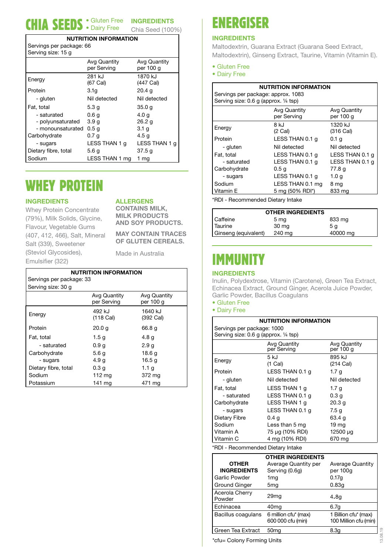#### CHIA SEEDS · Gluten Free INGREDIENTS Chia Seed (100%) • Gluten Free • Dairy Free

### **NUTRITION INFORMATION**

| Servings per package: 66 |  |
|--------------------------|--|
| Serving size: 15 g       |  |

|                      | Avg Quantity     | Avg Quantity      |
|----------------------|------------------|-------------------|
|                      | per Serving      | per 100 g         |
| Energy               | 281 kJ           | 1870 kJ           |
|                      | (67 Cal)         | (447 Cal)         |
| Protein              | 3.1a             | 20.4 <sub>q</sub> |
| - gluten             | Nil detected     | Nil detected      |
| Fat, total           | 5.3 <sub>g</sub> | 35.0 g            |
| - saturated          | 0.6 <sub>g</sub> | 4.0 <sub>q</sub>  |
| - polyunsaturated    | 3.9 <sub>q</sub> | 26.2 g            |
| - monounsaturated    | 0.5 <sub>q</sub> | 3.1 <sub>q</sub>  |
| Carbohydrate         | 0.7 <sub>g</sub> | 4.5 <sub>g</sub>  |
| - sugars             | LESS THAN 1 g    | LESS THAN 1 g     |
| Dietary fibre, total | 5.6 g            | 37.5q             |
| Sodium               | LESS THAN 1 mg   | 1 mg              |

# WHEY PROTEIN

### **INGREDIENTS**

**ALLERGENS**

**CONTAINS MILK,** 

Whey Protein Concentrate (79%), Milk Solids, Glycine, Flavour, Vegetable Gums (407, 412, 466), Salt, Mineral Salt (339), Sweetener (Steviol Glycosides), Emulsifier (322)

**MILK PRODUCTS AND SOY PRODUCTS. MAY CONTAIN TRACES**

**OF GLUTEN CEREALS.**

Made in Australia

| <b>NUTRITION INFORMATION</b> |                               |                           |
|------------------------------|-------------------------------|---------------------------|
| Servings per package: 33     |                               |                           |
| Serving size: 30 g           |                               |                           |
|                              | Avg Quantity<br>per Serving   | Avg Quantity<br>per 100 g |
| Energy                       | 492 kJ<br>$(118 \text{ Cal})$ | 1640 kJ<br>(392 Cal)      |
| Protein                      | 20.0 g                        | 66.8 g                    |
| Fat, total                   | 1.5g                          | 4.8 g                     |
| - saturated                  | 0.9 <sub>q</sub>              | 2.9q                      |
| Carbohydrate                 | 5.6 <sub>g</sub>              | 18.6 <sub>g</sub>         |
| - sugars                     | 4.9 <sub>g</sub>              | 16.5 <sub>g</sub>         |
| Dietary fibre, total         | 0.3 <sub>g</sub>              | 1.1 $g$                   |
| Sodium                       | 112 $mg$                      | 372 mg                    |
| Potassium                    | 141 mg                        | 471 mg                    |

## ENERGISER

### **INGREDIENTS**

Maltodextrin, Guarana Extract (Guarana Seed Extract, Maltodextrin), Ginseng Extract, Taurine, Vitamin (Vitamin E).

- Gluten Free
- Dairy Free

| <b>NUTRITION INFORMATION</b> |                                                                             |                           |  |
|------------------------------|-----------------------------------------------------------------------------|---------------------------|--|
|                              | Servings per package: approx. 1083<br>Serving size: 0.6 g (approx. 1/4 tsp) |                           |  |
|                              | Avg Quantity<br>per Serving                                                 | Avg Quantity<br>per 100 g |  |
| Energy                       | 8 kJ<br>$(2)$ Cal)                                                          | 1320 kJ<br>(316 Cal)      |  |
| Protein                      | LESS THAN 0.1 g                                                             | 0.1 a                     |  |
| - gluten                     | Nil detected                                                                | Nil detected              |  |
| Fat. total                   | LESS THAN 0.1 g                                                             | LESS THAN 0.1 g           |  |
| - saturated                  | LESS THAN 0.1 g                                                             | LESS THAN 0.1 g           |  |
| Carbohydrate                 | 0.5 <sub>q</sub>                                                            | 77.8 g                    |  |
| - sugars                     | LESS THAN 0.1 g                                                             | 1.0 g                     |  |
| Sodium                       | LESS THAN 0.1 mg                                                            | 8 mg                      |  |
| Vitamin E                    | 5 mg (50% RDI*)                                                             | 833 mg                    |  |

\*RDI - Recommended Dietary Intake

| <b>OTHER INGREDIENTS</b> |                 |          |
|--------------------------|-----------------|----------|
| Caffeine                 | 5 <sub>mg</sub> | 833 mg   |
| Taurine                  | 30 mg           | 5 a      |
| Ginseng (equivalent)     | 240 mg          | 40000 mg |

# IMMUNITY

### **INGREDIENTS**

Inulin, Polydextrose, Vitamin (Carotene), Green Tea Extract, Echinacea Extract, Ground Ginger, Acerola Juice Powder, Garlic Powder, Bacillus Coagulans

• Gluten Free

• Dairy Free

| NUTRITION INFORMATION                 |                                        |                                     |
|---------------------------------------|----------------------------------------|-------------------------------------|
| Servings per package: 1000            |                                        |                                     |
| Serving size: 0.6 g (approx. 1/4 tsp) |                                        |                                     |
|                                       | Avg Quantity<br>per Serving            | Avg Quantity<br>per 100 g           |
| Energy                                | $5$ k.l<br>$(1)$ Cal)                  | 895 k.l<br>$(214 \text{ Cal})$      |
| Protein                               | LESS THAN 0.1 g                        | 1.7 <sub>q</sub>                    |
| - gluten                              | Nil detected                           | Nil detected                        |
| Fat, total                            | LESS THAN 1 g                          | 1.7 <sub>g</sub>                    |
| - saturated                           | LESS THAN 0.1 g                        | 0.3 <sub>q</sub>                    |
| Carbohydrate                          | LESS THAN 1 g                          | 20.3 <sub>g</sub>                   |
| - sugars                              | LESS THAN 0.1 g                        | 7.5 g                               |
| Dietary Fibre                         | 0.4 <sub>q</sub>                       | 63.4 g                              |
| Sodium                                | Less than 5 mg                         | 19 <sub>mg</sub>                    |
| Vitamin A                             | 75 μg (10% RDI)                        | 12500 µg                            |
| Vitamin C                             | 4 mg (10% RDI)                         | 670 mg                              |
| *RDI - Recommended Dietary Intake     |                                        |                                     |
| <b>OTHER INGREDIENTS</b>              |                                        |                                     |
| OTHER<br><b>INGREDIENTS</b>           | Average Quantity per<br>Serving (0.6g) | <b>Average Quantity</b><br>per 100g |
| Garlic Powder                         | 1 <sub>mg</sub>                        | 0.17g                               |
| Ground Ginger                         | 5 <sub>mg</sub>                        | 0.83q                               |
| Acerola Cherry<br>Powder              | 29 <sub>mq</sub>                       | 4.8q                                |

\*cfu= Colony Forming Units

Echinacea 40mg 6.7g

Green Tea Extract 50mg 8.3g

600 000 cfu (min)

Bacillus coagulans 6 million cfu\* (max)

1 Billion cfu\* (max) 100 Million cfu (min)